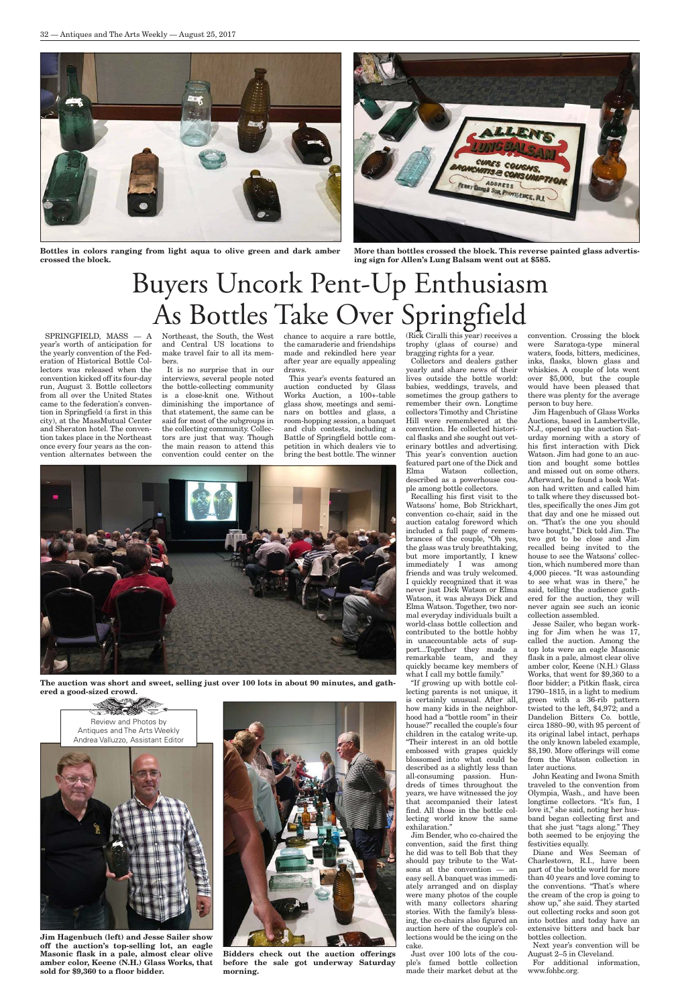SPRINGFIELD, MASS — A year's worth of anticipation for the yearly convention of the Federation of Historical Bottle Collectors was released when the convention kicked off its four-day run, August 3. Bottle collectors from all over the United States came to the federation's convention in Springfield (a first in this city), at the MassMutual Center and Sheraton hotel. The convention takes place in the Northeast once every four years as the convention alternates between the

Northeast, the South, the West and Central US locations to make travel fair to all its members.

It is no surprise that in our interviews, several people noted the bottle-collecting community is a close-knit one. Without diminishing the importance of that statement, the same can be said for most of the subgroups in the collecting community. Collectors are just that way. Though the main reason to attend this convention could center on the

chance to acquire a rare bottle, the camaraderie and friendships made and rekindled here year after year are equally appealing draws.

This year's events featured an auction conducted by Glass Works Auction, a 100+-table glass show, meetings and seminars on bottles and glass, a room-hopping session, a banquet and club contests, including a Battle of Springfield bottle competition in which dealers vie to bring the best bottle. The winner

(Rick Ciralli this year) receives a trophy (glass of course) and bragging rights for a year. Collectors and dealers gather yearly and share news of their

lives outside the bottle world: babies, weddings, travels, and sometimes the group gathers to remember their own. Longtime collectors Timothy and Christine Hill were remembered at the convention. He collected historical flasks and she sought out veterinary bottles and advertising. This year's convention auction featured part one of the Dick and Elma Watson collection, described as a powerhouse couple among bottle collectors.

Recalling his first visit to the Watsons' home, Bob Strickhart, convention co-chair, said in the auction catalog foreword which included a full page of remembrances of the couple, "Oh yes, the glass was truly breathtaking, but more importantly, I knew immediately I was among friends and was truly welcomed. I quickly recognized that it was never just Dick Watson or Elma Watson, it was always Dick and Elma Watson. Together, two normal everyday individuals built a world-class bottle collection and contributed to the bottle hobby in unaccountable acts of support...Together they made a remarkable team, and they quickly became key members of what I call my bottle family."

"If growing up with bottle collecting parents is not unique, it is certainly unusual. After all, how many kids in the neighborhood had a "bottle room" in their house?" recalled the couple's four children in the catalog write-up. "Their interest in an old bottle embossed with grapes quickly blossomed into what could be described as a slightly less than all-consuming passion. Hundreds of times throughout the years, we have witnessed the joy that accompanied their latest find. All those in the bottle collecting world know the same exhilaration." Jim Bender, who co-chaired the convention, said the first thing he did was to tell Bob that they should pay tribute to the Watsons at the convention — an easy sell. A banquet was immediately arranged and on display were many photos of the couple with many collectors sharing stories. With the family's blessing, the co-chairs also figured an auction here of the couple's collections would be the icing on the cake.

Just over 100 lots of the couple's famed bottle collection made their market debut at the convention. Crossing the block were Saratoga-type mineral waters, foods, bitters, medicines, inks, flasks, blown glass and whiskies. A couple of lots went over \$5,000, but the couple would have been pleased that there was plenty for the average person to buy here.

Jim Hagenbuch of Glass Works Auctions, based in Lambertville, N.J., opened up the auction Saturday morning with a story of his first interaction with Dick Watson. Jim had gone to an auction and bought some bottles and missed out on some others. Afterward, he found a book Watson had written and called him to talk where they discussed bottles, specifically the ones Jim got that day and one he missed out on. "That's the one you should have bought," Dick told Jim. The two got to be close and Jim recalled being invited to the house to see the Watsons' collection, which numbered more than 4,000 pieces. "It was astounding to see what was in there," he said, telling the audience gathered for the auction, they will never again see such an iconic collection assembled.

Jesse Sailer, who began working for Jim when he was 17, called the auction. Among the top lots were an eagle Masonic flask in a pale, almost clear olive amber color, Keene (N.H.) Glass Works, that went for \$9,360 to a floor bidder; a Pitkin flask, circa 1790–1815, in a light to medium green with a 36-rib pattern twisted to the left, \$4,972; and a Dandelion Bitters Co. bottle, circa 1880–90, with 95 percent of its original label intact, perhaps the only known labeled example, \$8,190. More offerings will come from the Watson collection in later auctions. John Keating and Iwona Smith traveled to the convention from Olympia, Wash., and have been longtime collectors. "It's fun, I love it," she said, noting her husband began collecting first and that she just "tags along." They both seemed to be enjoying the festivities equally. Diane and Wes Seeman of Charlestown, R.I., have been part of the bottle world for more than 40 years and love coming to the conventions. "That's where the cream of the crop is going to show up," she said. They started out collecting rocks and soon got into bottles and today have an extensive bitters and back bar bottles collection. Next year's convention will be August 2–5 in Cleveland.



For additional information, www.fohbc.org.

## Buyers Uncork Pent-Up Enthusiasm As Bottles Take Over Springfield

**Bidders check out the auction offerings before the sale got underway Saturday morning.**

**Jim Hagenbuch (left) and Jesse Sailer show off the auction's top-selling lot, an eagle Masonic flask in a pale, almost clear olive amber color, Keene (N.H.) Glass Works, that sold for \$9,360 to a floor bidder.**



**Bottles in colors ranging from light aqua to olive green and dark amber crossed the block.**



**More than bottles crossed the block. This reverse painted glass advertising sign for Allen's Lung Balsam went out at \$585.**



**The auction was short and sweet, selling just over 100 lots in about 90 minutes, and gathered a good-sized crowd.**